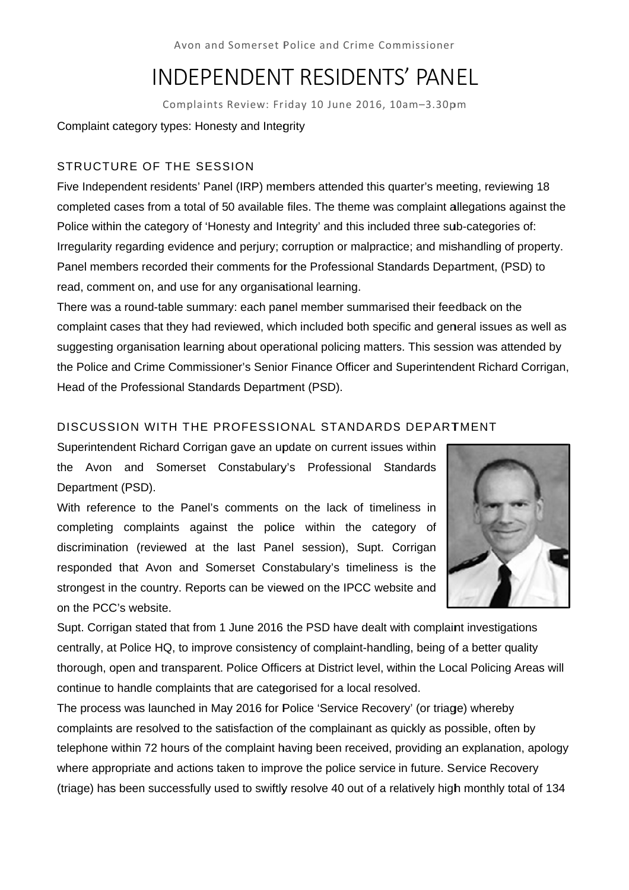Avon and Somerset Police and Crime Commissioner

# INDEPENDENT RESIDENTS' PANEL

Complaints Review: Friday 10 June 2016, 10am-3.30pm

# Complaint category types: Honesty and Integrity

# STRUCTURE OF THE SESSION

Five Independent residents' Panel (IRP) members attended this quarter's meeting, reviewing 18 completed cases from a total of 50 available files. The theme was complaint allegations against the Police within the category of 'Honesty and Integrity' and this included three sub-categories of: Irregularity regarding evidence and perjury; corruption or malpractice; and mishandling of property. Panel members recorded their comments for the Professional Standards Department, (PSD) to read, comment on, and use for any organisational learning.

There was a round-table summary: each panel member summarised their feedback on the complaint cases that they had reviewed, which included both specific and general issues as well as suggesting organisation learning about operational policing matters. This session was attended by the Police and Crime Commissioner's Senior Finance Officer and Superintendent Richard Corrigan, Head of the Professional Standards Department (PSD).

# Head of the Professional Standards Department (PSD).<br>DISCUSSION WITH THE PROFESSIONAL STANDARDS DEPARTMENT

Superintendent Richard Corrigan gave an update on current issues within the Avon and Somerset Constabulary's Professional Standards Department (PSD).

With reference to the Panel's comments on the lack of timeliness in completing complaints against the police within the category of discrimination (reviewed at the last Panel session), Supt. Corrigan responded that Avon and Somerset Constabulary's timeliness is the strongest in the country. Reports can be viewed on the IPCC website and on the PCC C's website.



on the PCC's website.<br>Supt. Corrigan stated that from 1 June 2016 the PSD have dealt with complaint investigations centrally, at Police HQ, to improve consistency of complaint-handling, being of a better quality thorough, open and transparent. Police Officers at District level, within the Local Policing Areas will continue to handle complaints that are categorised for a local resolved.

The process was launched in May 2016 for Police 'Service Recovery' (or triage) whereby complaints are resolved to the satisfaction of the complainant as quickly as possible, often by telephone within 72 hours of the complaint having been received, providing an explanation, apology where appropriate and actions taken to improve the police service in future. Service Recovery (triage) has been successfully used to swiftly resolve 40 out of a relatively high monthly total of 134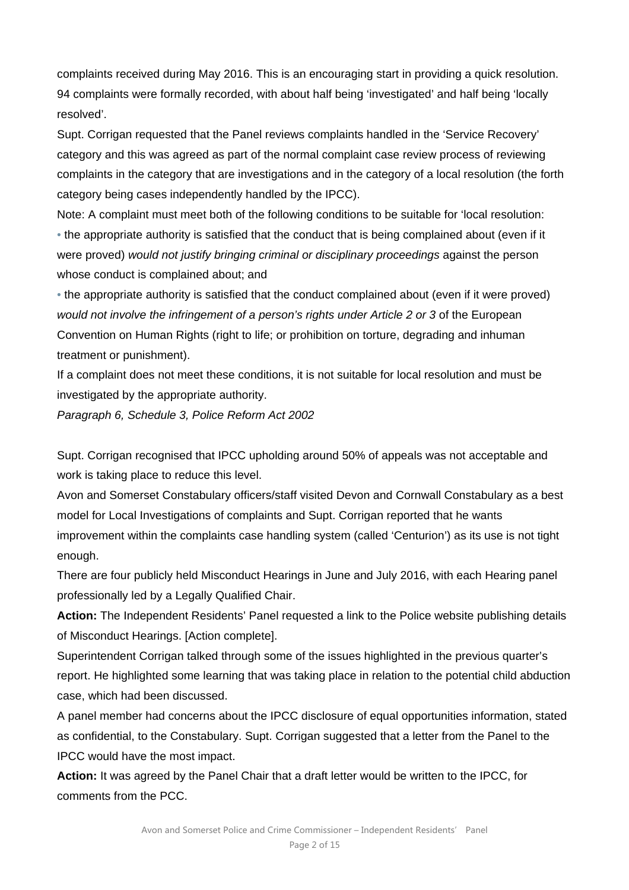complaints received during May 2016. This is an encouraging start in providing a quick resolution. 94 complaints were formally recorded, with about half being 'investigated' and half being 'locally resolved'.

Supt. Corrigan requested that the Panel reviews complaints handled in the 'Service Recovery' category and this was agreed as part of the normal complaint case review process of reviewing complaints in the category that are investigations and in the category of a local resolution (the forth category being cases independently handled by the IPCC).

Note: A complaint must meet both of the following conditions to be suitable for 'local resolution: • the appropriate authority is satisfied that the conduct that is being complained about (even if it were proved) *would not justify bringing criminal or disciplinary proceedings* against the person whose conduct is complained about; and

• the appropriate authority is satisfied that the conduct complained about (even if it were proved) *would not involve the infringement of a person's rights under Article 2 or 3* of the European Convention on Human Rights (right to life; or prohibition on torture, degrading and inhuman treatment or punishment).

If a complaint does not meet these conditions, it is not suitable for local resolution and must be investigated by the appropriate authority.

*Paragraph 6, Schedule 3, Police Reform Act 2002* 

Supt. Corrigan recognised that IPCC upholding around 50% of appeals was not acceptable and work is taking place to reduce this level.

Avon and Somerset Constabulary officers/staff visited Devon and Cornwall Constabulary as a best model for Local Investigations of complaints and Supt. Corrigan reported that he wants improvement within the complaints case handling system (called 'Centurion') as its use is not tight enough.

There are four publicly held Misconduct Hearings in June and July 2016, with each Hearing panel professionally led by a Legally Qualified Chair.

**Action:** The Independent Residents' Panel requested a link to the Police website publishing details of Misconduct Hearings. [Action complete].

Superintendent Corrigan talked through some of the issues highlighted in the previous quarter's report. He highlighted some learning that was taking place in relation to the potential child abduction case, which had been discussed.

A panel member had concerns about the IPCC disclosure of equal opportunities information, stated as confidential, to the Constabulary. Supt. Corrigan suggested that a letter from the Panel to the IPCC would have the most impact.

**Action:** It was agreed by the Panel Chair that a draft letter would be written to the IPCC, for comments from the PCC.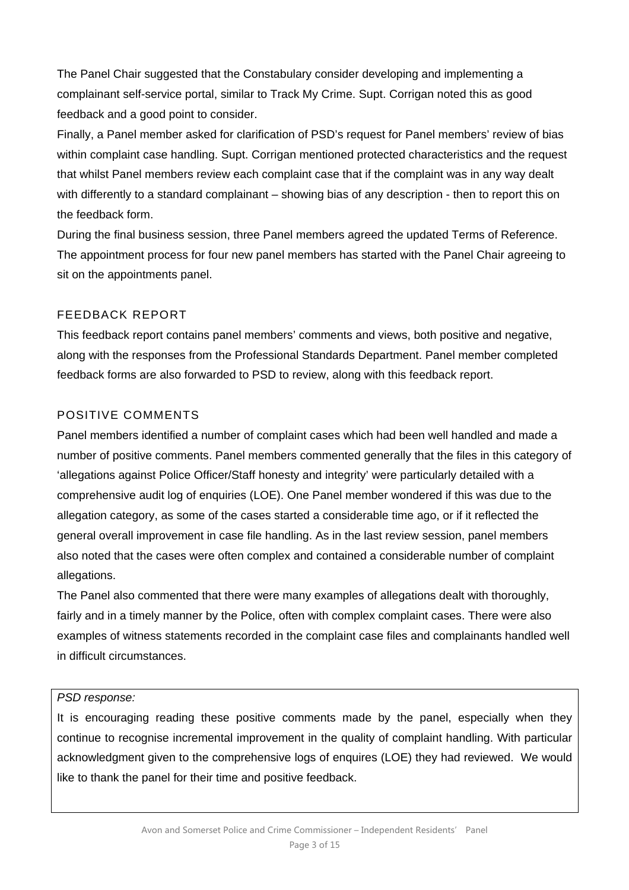The Panel Chair suggested that the Constabulary consider developing and implementing a complainant self-service portal, similar to Track My Crime. Supt. Corrigan noted this as good feedback and a good point to consider.

Finally, a Panel member asked for clarification of PSD's request for Panel members' review of bias within complaint case handling. Supt. Corrigan mentioned protected characteristics and the request that whilst Panel members review each complaint case that if the complaint was in any way dealt with differently to a standard complainant – showing bias of any description - then to report this on the feedback form.

During the final business session, three Panel members agreed the updated Terms of Reference. The appointment process for four new panel members has started with the Panel Chair agreeing to sit on the appointments panel.

# FEEDBACK REPORT

This feedback report contains panel members' comments and views, both positive and negative, along with the responses from the Professional Standards Department. Panel member completed feedback forms are also forwarded to PSD to review, along with this feedback report.

# POSITIVE COMMENTS

Panel members identified a number of complaint cases which had been well handled and made a number of positive comments. Panel members commented generally that the files in this category of 'allegations against Police Officer/Staff honesty and integrity' were particularly detailed with a comprehensive audit log of enquiries (LOE). One Panel member wondered if this was due to the allegation category, as some of the cases started a considerable time ago, or if it reflected the general overall improvement in case file handling. As in the last review session, panel members also noted that the cases were often complex and contained a considerable number of complaint allegations.

The Panel also commented that there were many examples of allegations dealt with thoroughly, fairly and in a timely manner by the Police, often with complex complaint cases. There were also examples of witness statements recorded in the complaint case files and complainants handled well in difficult circumstances.

# *PSD response:*

It is encouraging reading these positive comments made by the panel, especially when they continue to recognise incremental improvement in the quality of complaint handling. With particular acknowledgment given to the comprehensive logs of enquires (LOE) they had reviewed. We would like to thank the panel for their time and positive feedback.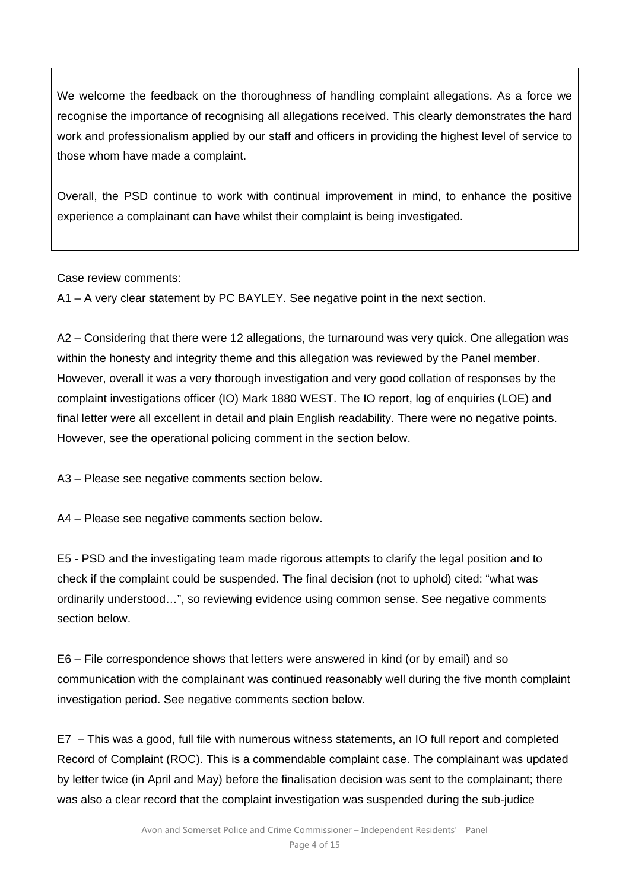We welcome the feedback on the thoroughness of handling complaint allegations. As a force we recognise the importance of recognising all allegations received. This clearly demonstrates the hard work and professionalism applied by our staff and officers in providing the highest level of service to those whom have made a complaint.

Overall, the PSD continue to work with continual improvement in mind, to enhance the positive experience a complainant can have whilst their complaint is being investigated.

Case review comments:

A1 – A very clear statement by PC BAYLEY. See negative point in the next section.

A2 – Considering that there were 12 allegations, the turnaround was very quick. One allegation was within the honesty and integrity theme and this allegation was reviewed by the Panel member. However, overall it was a very thorough investigation and very good collation of responses by the complaint investigations officer (IO) Mark 1880 WEST. The IO report, log of enquiries (LOE) and final letter were all excellent in detail and plain English readability. There were no negative points. However, see the operational policing comment in the section below.

A3 – Please see negative comments section below.

A4 – Please see negative comments section below.

E5 - PSD and the investigating team made rigorous attempts to clarify the legal position and to check if the complaint could be suspended. The final decision (not to uphold) cited: "what was ordinarily understood…", so reviewing evidence using common sense. See negative comments section below.

E6 – File correspondence shows that letters were answered in kind (or by email) and so communication with the complainant was continued reasonably well during the five month complaint investigation period. See negative comments section below.

E7 – This was a good, full file with numerous witness statements, an IO full report and completed Record of Complaint (ROC). This is a commendable complaint case. The complainant was updated by letter twice (in April and May) before the finalisation decision was sent to the complainant; there was also a clear record that the complaint investigation was suspended during the sub-judice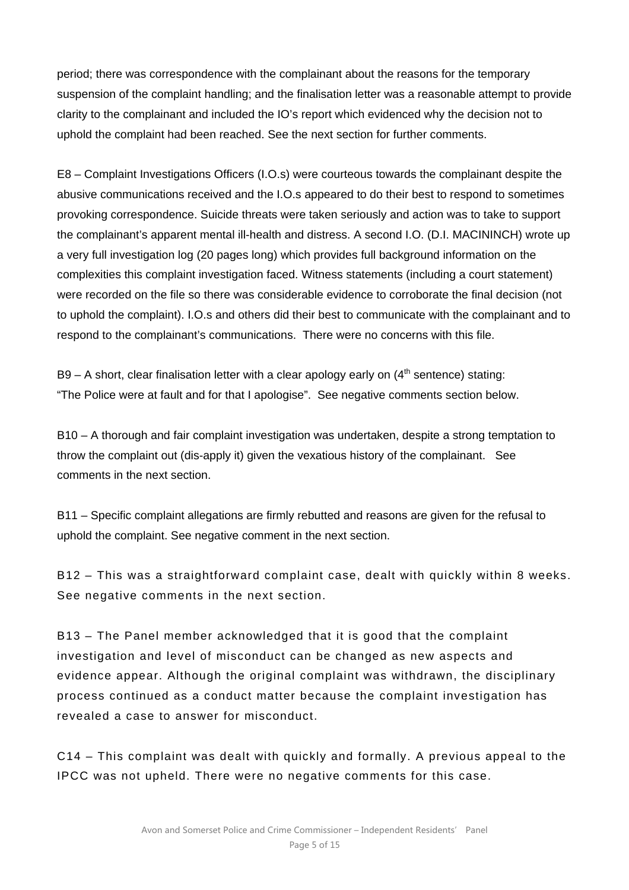period; there was correspondence with the complainant about the reasons for the temporary suspension of the complaint handling; and the finalisation letter was a reasonable attempt to provide clarity to the complainant and included the IO's report which evidenced why the decision not to uphold the complaint had been reached. See the next section for further comments.

E8 – Complaint Investigations Officers (I.O.s) were courteous towards the complainant despite the abusive communications received and the I.O.s appeared to do their best to respond to sometimes provoking correspondence. Suicide threats were taken seriously and action was to take to support the complainant's apparent mental ill-health and distress. A second I.O. (D.I. MACININCH) wrote up a very full investigation log (20 pages long) which provides full background information on the complexities this complaint investigation faced. Witness statements (including a court statement) were recorded on the file so there was considerable evidence to corroborate the final decision (not to uphold the complaint). I.O.s and others did their best to communicate with the complainant and to respond to the complainant's communications. There were no concerns with this file.

B9 – A short, clear finalisation letter with a clear apology early on  $(4<sup>th</sup>$  sentence) stating: "The Police were at fault and for that I apologise". See negative comments section below.

B10 – A thorough and fair complaint investigation was undertaken, despite a strong temptation to throw the complaint out (dis-apply it) given the vexatious history of the complainant. See comments in the next section.

B11 – Specific complaint allegations are firmly rebutted and reasons are given for the refusal to uphold the complaint. See negative comment in the next section.

B12 – This was a straightforward complaint case, dealt with quickly within 8 weeks. See negative comments in the next section.

B13 – The Panel member acknowledged that it is good that the complaint investigation and level of misconduct can be changed as new aspects and evidence appear. Although the original complaint was withdrawn, the disciplinary process continued as a conduct matter because the complaint investigation has revealed a case to answer for misconduct.

C14 – This complaint was dealt with quickly and formally. A previous appeal to the IPCC was not upheld. There were no negative comments for this case.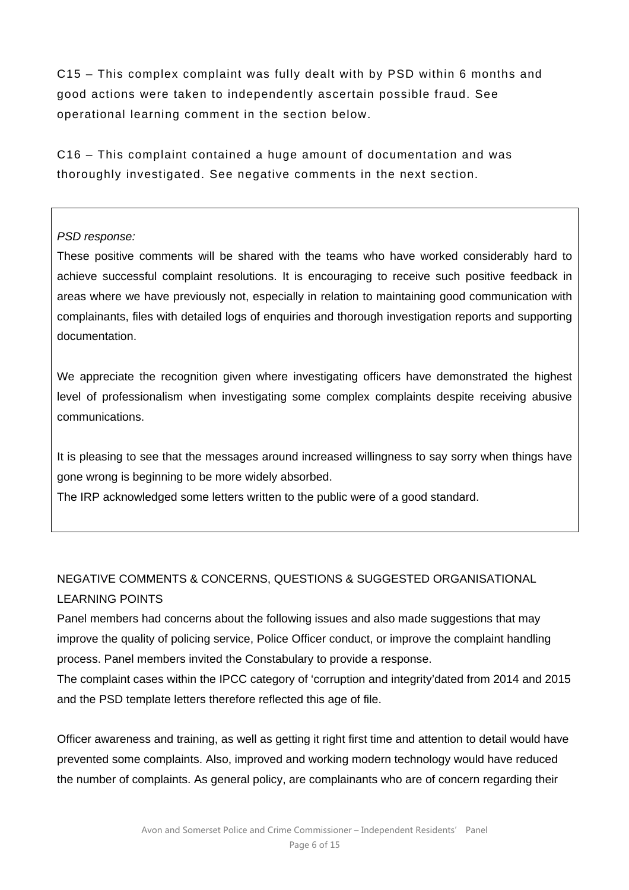C15 – This complex complaint was fully dealt with by PSD within 6 months and good actions were taken to independently ascertain possible fraud. See operational learning comment in the section below.

C16 – This complaint contained a huge amount of documentation and was thoroughly investigated. See negative comments in the next section.

# *PSD response:*

These positive comments will be shared with the teams who have worked considerably hard to achieve successful complaint resolutions. It is encouraging to receive such positive feedback in areas where we have previously not, especially in relation to maintaining good communication with complainants, files with detailed logs of enquiries and thorough investigation reports and supporting documentation.

We appreciate the recognition given where investigating officers have demonstrated the highest level of professionalism when investigating some complex complaints despite receiving abusive communications.

It is pleasing to see that the messages around increased willingness to say sorry when things have gone wrong is beginning to be more widely absorbed.

The IRP acknowledged some letters written to the public were of a good standard.

# NEGATIVE COMMENTS & CONCERNS, QUESTIONS & SUGGESTED ORGANISATIONAL LEARNING POINTS

Panel members had concerns about the following issues and also made suggestions that may improve the quality of policing service, Police Officer conduct, or improve the complaint handling process. Panel members invited the Constabulary to provide a response.

The complaint cases within the IPCC category of 'corruption and integrity'dated from 2014 and 2015 and the PSD template letters therefore reflected this age of file.

Officer awareness and training, as well as getting it right first time and attention to detail would have prevented some complaints. Also, improved and working modern technology would have reduced the number of complaints. As general policy, are complainants who are of concern regarding their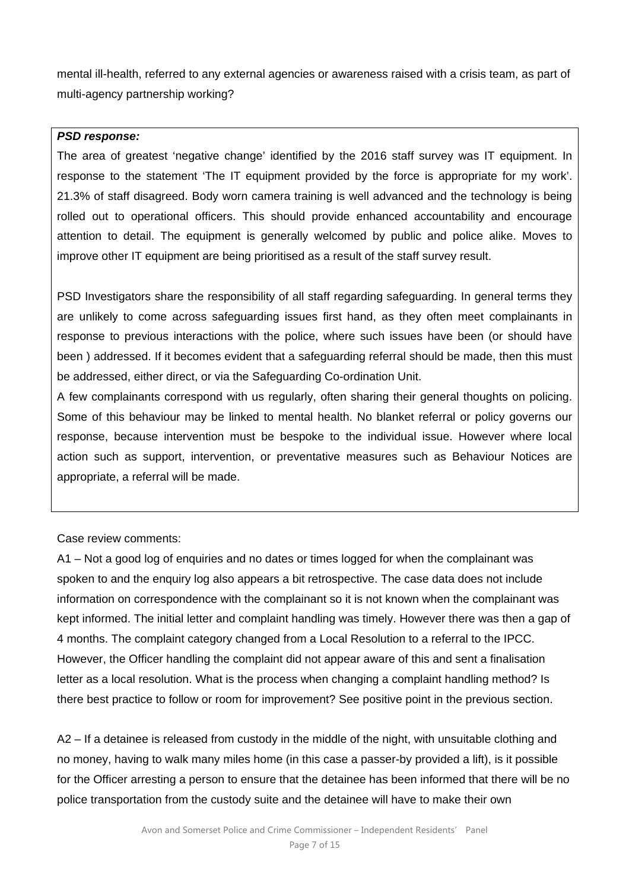mental ill-health, referred to any external agencies or awareness raised with a crisis team, as part of multi-agency partnership working?

#### *PSD response:*

The area of greatest 'negative change' identified by the 2016 staff survey was IT equipment. In response to the statement 'The IT equipment provided by the force is appropriate for my work'. 21.3% of staff disagreed. Body worn camera training is well advanced and the technology is being rolled out to operational officers. This should provide enhanced accountability and encourage attention to detail. The equipment is generally welcomed by public and police alike. Moves to improve other IT equipment are being prioritised as a result of the staff survey result.

PSD Investigators share the responsibility of all staff regarding safeguarding. In general terms they are unlikely to come across safeguarding issues first hand, as they often meet complainants in response to previous interactions with the police, where such issues have been (or should have been ) addressed. If it becomes evident that a safeguarding referral should be made, then this must be addressed, either direct, or via the Safeguarding Co-ordination Unit.

A few complainants correspond with us regularly, often sharing their general thoughts on policing. Some of this behaviour may be linked to mental health. No blanket referral or policy governs our response, because intervention must be bespoke to the individual issue. However where local action such as support, intervention, or preventative measures such as Behaviour Notices are appropriate, a referral will be made.

Case review comments:

A1 – Not a good log of enquiries and no dates or times logged for when the complainant was spoken to and the enquiry log also appears a bit retrospective. The case data does not include information on correspondence with the complainant so it is not known when the complainant was kept informed. The initial letter and complaint handling was timely. However there was then a gap of 4 months. The complaint category changed from a Local Resolution to a referral to the IPCC. However, the Officer handling the complaint did not appear aware of this and sent a finalisation letter as a local resolution. What is the process when changing a complaint handling method? Is there best practice to follow or room for improvement? See positive point in the previous section.

A2 – If a detainee is released from custody in the middle of the night, with unsuitable clothing and no money, having to walk many miles home (in this case a passer-by provided a lift), is it possible for the Officer arresting a person to ensure that the detainee has been informed that there will be no police transportation from the custody suite and the detainee will have to make their own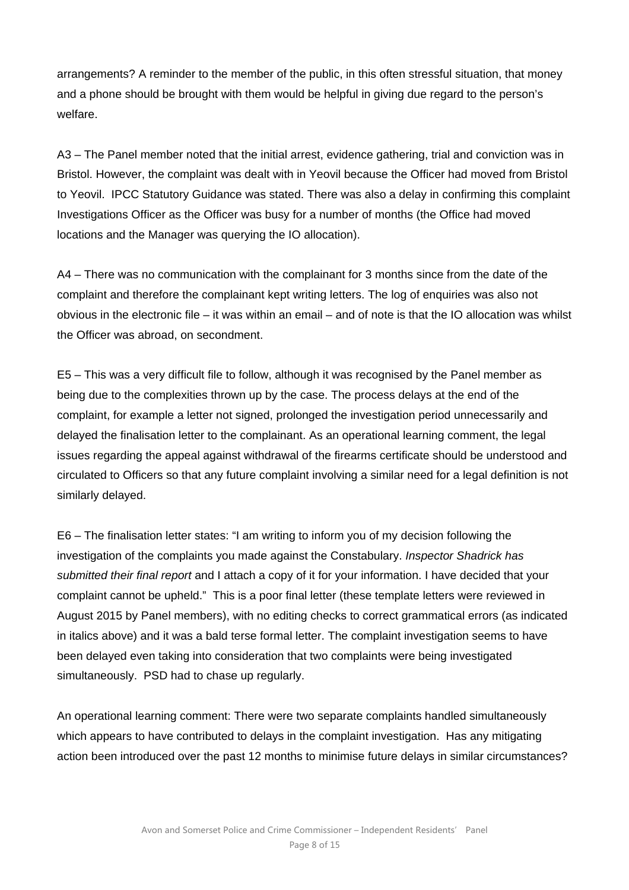arrangements? A reminder to the member of the public, in this often stressful situation, that money and a phone should be brought with them would be helpful in giving due regard to the person's welfare.

A3 – The Panel member noted that the initial arrest, evidence gathering, trial and conviction was in Bristol. However, the complaint was dealt with in Yeovil because the Officer had moved from Bristol to Yeovil. IPCC Statutory Guidance was stated. There was also a delay in confirming this complaint Investigations Officer as the Officer was busy for a number of months (the Office had moved locations and the Manager was querying the IO allocation).

A4 – There was no communication with the complainant for 3 months since from the date of the complaint and therefore the complainant kept writing letters. The log of enquiries was also not obvious in the electronic file – it was within an email – and of note is that the IO allocation was whilst the Officer was abroad, on secondment.

E5 – This was a very difficult file to follow, although it was recognised by the Panel member as being due to the complexities thrown up by the case. The process delays at the end of the complaint, for example a letter not signed, prolonged the investigation period unnecessarily and delayed the finalisation letter to the complainant. As an operational learning comment, the legal issues regarding the appeal against withdrawal of the firearms certificate should be understood and circulated to Officers so that any future complaint involving a similar need for a legal definition is not similarly delayed.

E6 – The finalisation letter states: "I am writing to inform you of my decision following the investigation of the complaints you made against the Constabulary. *Inspector Shadrick has submitted their final report* and I attach a copy of it for your information. I have decided that your complaint cannot be upheld." This is a poor final letter (these template letters were reviewed in August 2015 by Panel members), with no editing checks to correct grammatical errors (as indicated in italics above) and it was a bald terse formal letter. The complaint investigation seems to have been delayed even taking into consideration that two complaints were being investigated simultaneously. PSD had to chase up regularly.

An operational learning comment: There were two separate complaints handled simultaneously which appears to have contributed to delays in the complaint investigation. Has any mitigating action been introduced over the past 12 months to minimise future delays in similar circumstances?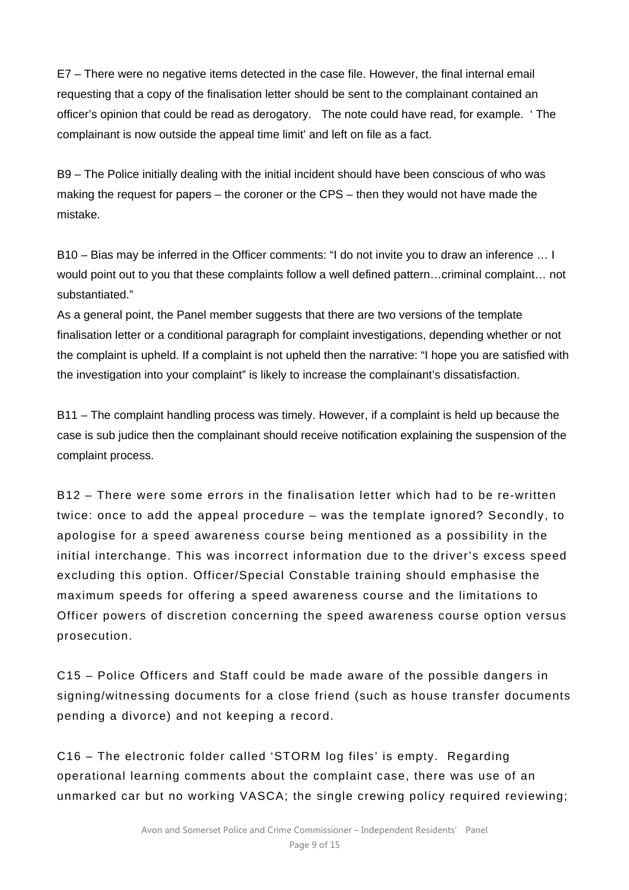E7 – There were no negative items detected in the case file. However, the final internal email requesting that a copy of the finalisation letter should be sent to the complainant contained an officer's opinion that could be read as derogatory. The note could have read, for example. ' The complainant is now outside the appeal time limit' and left on file as a fact.

B9 – The Police initially dealing with the initial incident should have been conscious of who was making the request for papers – the coroner or the CPS – then they would not have made the mistake.

B10 – Bias may be inferred in the Officer comments: "I do not invite you to draw an inference … I would point out to you that these complaints follow a well defined pattern…criminal complaint… not substantiated."

As a general point, the Panel member suggests that there are two versions of the template finalisation letter or a conditional paragraph for complaint investigations, depending whether or not the complaint is upheld. If a complaint is not upheld then the narrative: "I hope you are satisfied with the investigation into your complaint" is likely to increase the complainant's dissatisfaction.

B11 – The complaint handling process was timely. However, if a complaint is held up because the case is sub judice then the complainant should receive notification explaining the suspension of the complaint process.

B12 – There were some errors in the finalisation letter which had to be re-written twice: once to add the appeal procedure – was the template ignored? Secondly, to apologise for a speed awareness course being mentioned as a possibility in the initial interchange. This was incorrect information due to the driver's excess speed excluding this option. Officer/Special Constable training should emphasise the maximum speeds for offering a speed awareness course and the limitations to Officer powers of discretion concerning the speed awareness course option versus prosecution.

C15 – Police Officers and Staff could be made aware of the possible dangers in signing/witnessing documents for a close friend (such as house transfer documents pending a divorce) and not keeping a record.

C16 – The electronic folder called 'STORM log files' is empty. Regarding operational learning comments about the complaint case, there was use of an unmarked car but no working VASCA; the single crewing policy required reviewing;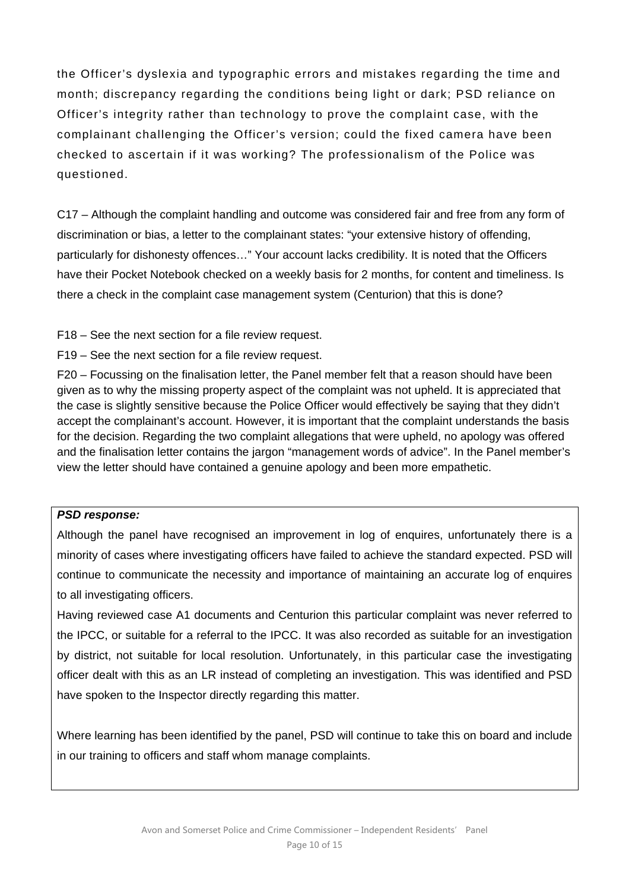the Officer's dyslexia and typographic errors and mistakes regarding the time and month; discrepancy regarding the conditions being light or dark; PSD reliance on Officer's integrity rather than technology to prove the complaint case, with the complainant challenging the Officer's version; could the fixed camera have been checked to ascertain if it was working? The professionalism of the Police was questioned.

C17 – Although the complaint handling and outcome was considered fair and free from any form of discrimination or bias, a letter to the complainant states: "your extensive history of offending, particularly for dishonesty offences…" Your account lacks credibility. It is noted that the Officers have their Pocket Notebook checked on a weekly basis for 2 months, for content and timeliness. Is there a check in the complaint case management system (Centurion) that this is done?

F18 – See the next section for a file review request.

F19 – See the next section for a file review request.

F20 – Focussing on the finalisation letter, the Panel member felt that a reason should have been given as to why the missing property aspect of the complaint was not upheld. It is appreciated that the case is slightly sensitive because the Police Officer would effectively be saying that they didn't accept the complainant's account. However, it is important that the complaint understands the basis for the decision. Regarding the two complaint allegations that were upheld, no apology was offered and the finalisation letter contains the jargon "management words of advice". In the Panel member's view the letter should have contained a genuine apology and been more empathetic.

### *PSD response:*

Although the panel have recognised an improvement in log of enquires, unfortunately there is a minority of cases where investigating officers have failed to achieve the standard expected. PSD will continue to communicate the necessity and importance of maintaining an accurate log of enquires to all investigating officers.

Having reviewed case A1 documents and Centurion this particular complaint was never referred to the IPCC, or suitable for a referral to the IPCC. It was also recorded as suitable for an investigation by district, not suitable for local resolution. Unfortunately, in this particular case the investigating officer dealt with this as an LR instead of completing an investigation. This was identified and PSD have spoken to the Inspector directly regarding this matter.

Where learning has been identified by the panel, PSD will continue to take this on board and include in our training to officers and staff whom manage complaints.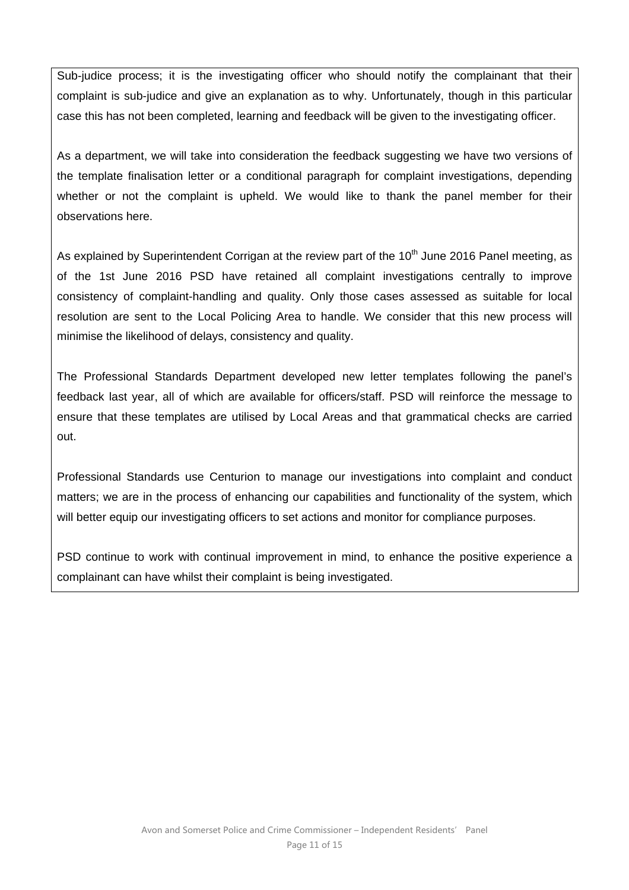Sub-judice process; it is the investigating officer who should notify the complainant that their complaint is sub-judice and give an explanation as to why. Unfortunately, though in this particular case this has not been completed, learning and feedback will be given to the investigating officer.

As a department, we will take into consideration the feedback suggesting we have two versions of the template finalisation letter or a conditional paragraph for complaint investigations, depending whether or not the complaint is upheld. We would like to thank the panel member for their observations here.

As explained by Superintendent Corrigan at the review part of the  $10<sup>th</sup>$  June 2016 Panel meeting, as of the 1st June 2016 PSD have retained all complaint investigations centrally to improve consistency of complaint-handling and quality. Only those cases assessed as suitable for local resolution are sent to the Local Policing Area to handle. We consider that this new process will minimise the likelihood of delays, consistency and quality.

The Professional Standards Department developed new letter templates following the panel's feedback last year, all of which are available for officers/staff. PSD will reinforce the message to ensure that these templates are utilised by Local Areas and that grammatical checks are carried out.

Professional Standards use Centurion to manage our investigations into complaint and conduct matters; we are in the process of enhancing our capabilities and functionality of the system, which will better equip our investigating officers to set actions and monitor for compliance purposes.

PSD continue to work with continual improvement in mind, to enhance the positive experience a complainant can have whilst their complaint is being investigated.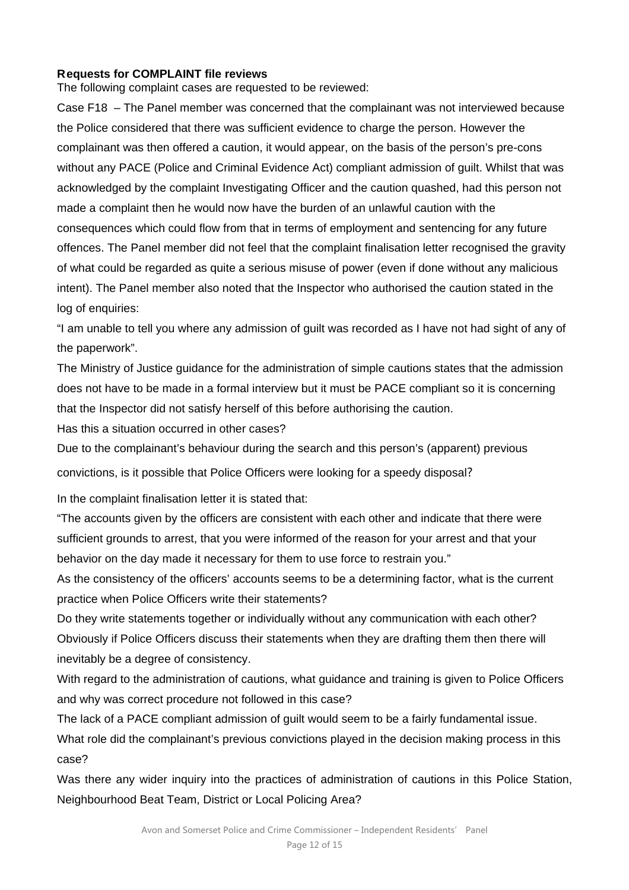### **Requests for COMPLAINT file reviews**

The following complaint cases are requested to be reviewed:

Case F18 – The Panel member was concerned that the complainant was not interviewed because the Police considered that there was sufficient evidence to charge the person. However the complainant was then offered a caution, it would appear, on the basis of the person's pre-cons without any PACE (Police and Criminal Evidence Act) compliant admission of guilt. Whilst that was acknowledged by the complaint Investigating Officer and the caution quashed, had this person not made a complaint then he would now have the burden of an unlawful caution with the consequences which could flow from that in terms of employment and sentencing for any future offences. The Panel member did not feel that the complaint finalisation letter recognised the gravity of what could be regarded as quite a serious misuse of power (even if done without any malicious intent). The Panel member also noted that the Inspector who authorised the caution stated in the log of enquiries:

"I am unable to tell you where any admission of guilt was recorded as I have not had sight of any of the paperwork".

The Ministry of Justice guidance for the administration of simple cautions states that the admission does not have to be made in a formal interview but it must be PACE compliant so it is concerning that the Inspector did not satisfy herself of this before authorising the caution.

Has this a situation occurred in other cases?

Due to the complainant's behaviour during the search and this person's (apparent) previous convictions, is it possible that Police Officers were looking for a speedy disposal?

In the complaint finalisation letter it is stated that:

"The accounts given by the officers are consistent with each other and indicate that there were sufficient grounds to arrest, that you were informed of the reason for your arrest and that your behavior on the day made it necessary for them to use force to restrain you."

As the consistency of the officers' accounts seems to be a determining factor, what is the current practice when Police Officers write their statements?

Do they write statements together or individually without any communication with each other? Obviously if Police Officers discuss their statements when they are drafting them then there will inevitably be a degree of consistency.

With regard to the administration of cautions, what guidance and training is given to Police Officers and why was correct procedure not followed in this case?

The lack of a PACE compliant admission of guilt would seem to be a fairly fundamental issue. What role did the complainant's previous convictions played in the decision making process in this case?

Was there any wider inquiry into the practices of administration of cautions in this Police Station, Neighbourhood Beat Team, District or Local Policing Area?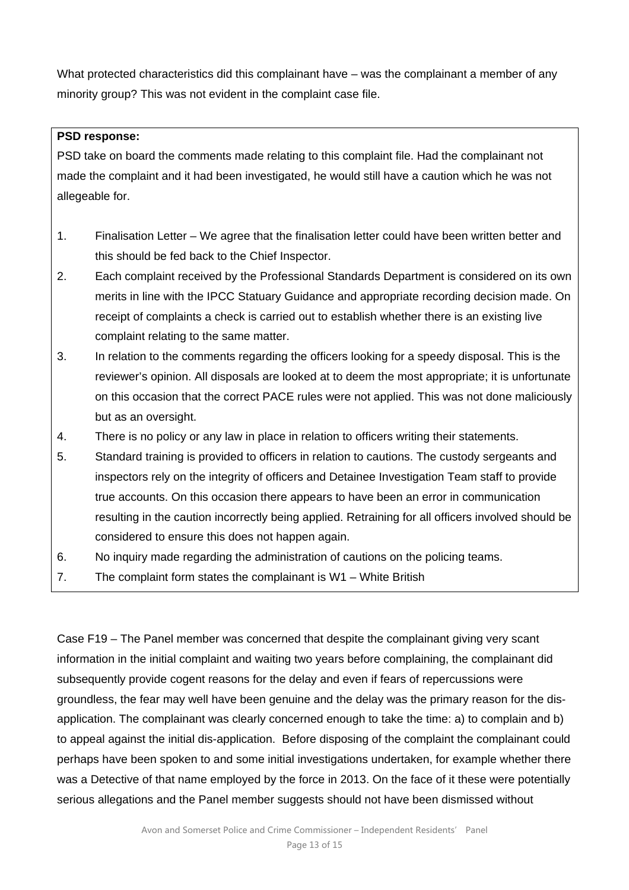What protected characteristics did this complainant have – was the complainant a member of any minority group? This was not evident in the complaint case file.

## **PSD response:**

PSD take on board the comments made relating to this complaint file. Had the complainant not made the complaint and it had been investigated, he would still have a caution which he was not allegeable for.

- 1. Finalisation Letter We agree that the finalisation letter could have been written better and this should be fed back to the Chief Inspector.
- 2. Each complaint received by the Professional Standards Department is considered on its own merits in line with the IPCC Statuary Guidance and appropriate recording decision made. On receipt of complaints a check is carried out to establish whether there is an existing live complaint relating to the same matter.
- 3. In relation to the comments regarding the officers looking for a speedy disposal. This is the reviewer's opinion. All disposals are looked at to deem the most appropriate; it is unfortunate on this occasion that the correct PACE rules were not applied. This was not done maliciously but as an oversight.
- 4. There is no policy or any law in place in relation to officers writing their statements.
- 5. Standard training is provided to officers in relation to cautions. The custody sergeants and inspectors rely on the integrity of officers and Detainee Investigation Team staff to provide true accounts. On this occasion there appears to have been an error in communication resulting in the caution incorrectly being applied. Retraining for all officers involved should be considered to ensure this does not happen again.
- 6. No inquiry made regarding the administration of cautions on the policing teams.
- 7. The complaint form states the complainant is W1 White British

Case F19 – The Panel member was concerned that despite the complainant giving very scant information in the initial complaint and waiting two years before complaining, the complainant did subsequently provide cogent reasons for the delay and even if fears of repercussions were groundless, the fear may well have been genuine and the delay was the primary reason for the disapplication. The complainant was clearly concerned enough to take the time: a) to complain and b) to appeal against the initial dis-application. Before disposing of the complaint the complainant could perhaps have been spoken to and some initial investigations undertaken, for example whether there was a Detective of that name employed by the force in 2013. On the face of it these were potentially serious allegations and the Panel member suggests should not have been dismissed without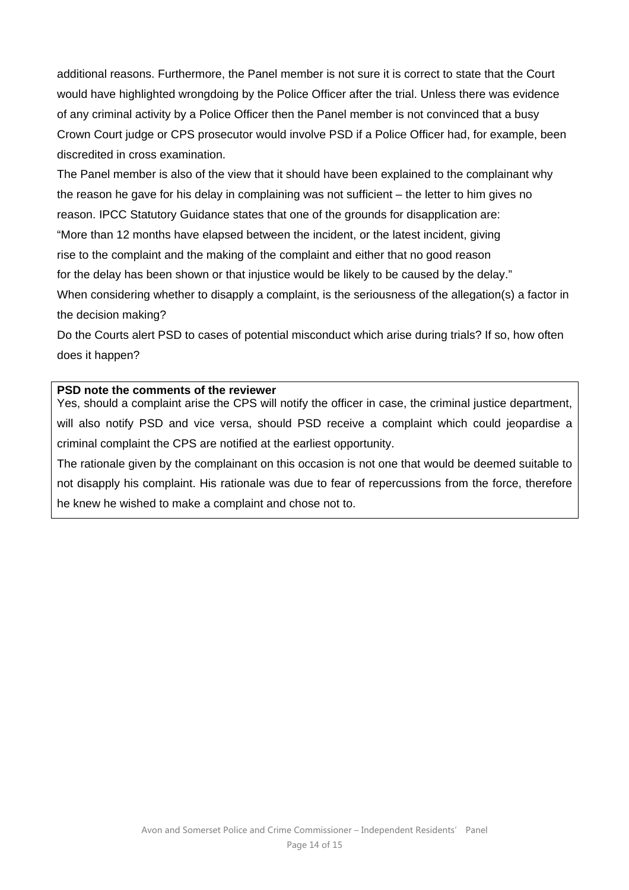additional reasons. Furthermore, the Panel member is not sure it is correct to state that the Court would have highlighted wrongdoing by the Police Officer after the trial. Unless there was evidence of any criminal activity by a Police Officer then the Panel member is not convinced that a busy Crown Court judge or CPS prosecutor would involve PSD if a Police Officer had, for example, been discredited in cross examination.

The Panel member is also of the view that it should have been explained to the complainant why the reason he gave for his delay in complaining was not sufficient – the letter to him gives no reason. IPCC Statutory Guidance states that one of the grounds for disapplication are: "More than 12 months have elapsed between the incident, or the latest incident, giving rise to the complaint and the making of the complaint and either that no good reason for the delay has been shown or that injustice would be likely to be caused by the delay." When considering whether to disapply a complaint, is the seriousness of the allegation(s) a factor in the decision making?

Do the Courts alert PSD to cases of potential misconduct which arise during trials? If so, how often does it happen?

#### **PSD note the comments of the reviewer**

Yes, should a complaint arise the CPS will notify the officer in case, the criminal justice department, will also notify PSD and vice versa, should PSD receive a complaint which could jeopardise a criminal complaint the CPS are notified at the earliest opportunity.

The rationale given by the complainant on this occasion is not one that would be deemed suitable to not disapply his complaint. His rationale was due to fear of repercussions from the force, therefore he knew he wished to make a complaint and chose not to.